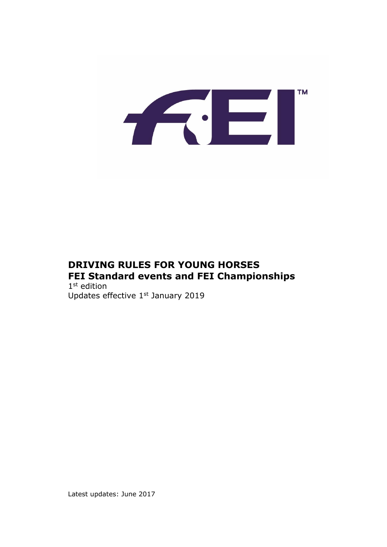

## **DRIVING RULES FOR YOUNG HORSES FEI Standard events and FEI Championships**

1 st edition Updates effective 1st January 2019

Latest updates: June 2017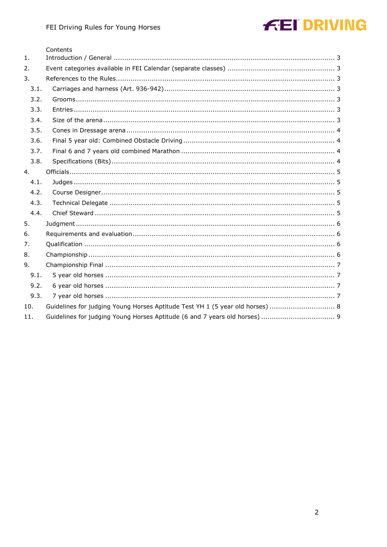#### Contents

| 1 <sub>1</sub> |                                                                               |
|----------------|-------------------------------------------------------------------------------|
| 2.             |                                                                               |
| 3.             |                                                                               |
| 3.1.           |                                                                               |
| 3.2.           |                                                                               |
| 3.3.           |                                                                               |
| 3.4.           |                                                                               |
| 3.5.           |                                                                               |
| 3.6.           |                                                                               |
| 3.7.           |                                                                               |
| 3.8.           |                                                                               |
| 4.             |                                                                               |
| 4.1.           |                                                                               |
| 4.2.           |                                                                               |
| 4.3.           |                                                                               |
| 4.4.           |                                                                               |
| 5.             |                                                                               |
| 6.             |                                                                               |
| 7.             |                                                                               |
| 8.             |                                                                               |
| 9.             |                                                                               |
| 9.1.           |                                                                               |
| 9.2.           |                                                                               |
| 9.3.           |                                                                               |
| 10.            | Guidelines for judging Young Horses Aptitude Test YH 1 (5 year old horses)  8 |
| 11.            |                                                                               |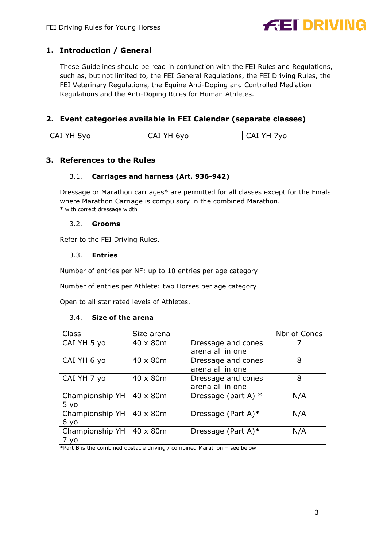

## <span id="page-2-0"></span>**1. Introduction / General**

These Guidelines should be read in conjunction with the FEI Rules and Regulations, such as, but not limited to, the FEI General Regulations, the FEI Driving Rules, the FEI Veterinary Regulations, the Equine Anti-Doping and Controlled Mediation Regulations and the Anti-Doping Rules for Human Athletes.

### <span id="page-2-1"></span>**2. Event categories available in FEI Calendar (separate classes)**

<span id="page-2-2"></span>

| ∩∨ר<br>^<br>nvr<br>$\overline{M}$<br>v<br>$\sim$<br>ີ<br>- 14<br>∼<br>. .<br>.<br>. . |
|---------------------------------------------------------------------------------------|

#### <span id="page-2-3"></span>**3. References to the Rules**

#### 3.1. **Carriages and harness (Art. 936-942)**

Dressage or Marathon carriages\* are permitted for all classes except for the Finals where Marathon Carriage is compulsory in the combined Marathon. \* with correct dressage width

#### 3.2. **Grooms**

<span id="page-2-5"></span><span id="page-2-4"></span>Refer to the FEI Driving Rules.

#### 3.3. **Entries**

Number of entries per NF: up to 10 entries per age category

Number of entries per Athlete: two Horses per age category

Open to all star rated levels of Athletes.

#### 3.4. **Size of the arena**

<span id="page-2-6"></span>

| Class           | Size arena |                       | Nbr of Cones |
|-----------------|------------|-----------------------|--------------|
| CAI YH 5 yo     | 40 x 80m   | Dressage and cones    |              |
|                 |            | arena all in one      |              |
| CAI YH 6 yo     | 40 x 80m   | Dressage and cones    | 8            |
|                 |            | arena all in one      |              |
| CAI YH 7 yo     | 40 x 80m   | Dressage and cones    | 8            |
|                 |            | arena all in one      |              |
| Championship YH | 40 x 80m   | Dressage (part A) $*$ | N/A          |
| 5 yo            |            |                       |              |
| Championship YH | 40 x 80m   | Dressage (Part A) $*$ | N/A          |
| 6 yo            |            |                       |              |
| Championship YH | 40 x 80m   | Dressage (Part A) $*$ | N/A          |
| V <sub>0</sub>  |            |                       |              |

\*Part B is the combined obstacle driving / combined Marathon – see below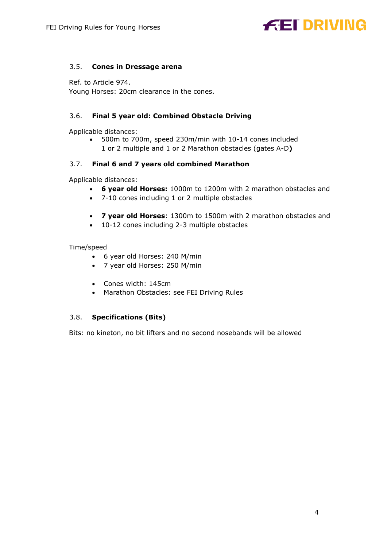#### <span id="page-3-0"></span>3.5. **Cones in Dressage arena**

Ref. to Article 974. Young Horses: 20cm clearance in the cones.

#### <span id="page-3-1"></span>3.6. **Final 5 year old: Combined Obstacle Driving**

Applicable distances:

 500m to 700m, speed 230m/min with 10-14 cones included 1 or 2 multiple and 1 or 2 Marathon obstacles (gates A-D**)**

#### <span id="page-3-2"></span>3.7. **Final 6 and 7 years old combined Marathon**

Applicable distances:

- **6 year old Horses:** 1000m to 1200m with 2 marathon obstacles and
- 7-10 cones including 1 or 2 multiple obstacles
- **7 year old Horses**: 1300m to 1500m with 2 marathon obstacles and
- 10-12 cones including 2-3 multiple obstacles

#### Time/speed

- 6 year old Horses: 240 M/min
- 7 year old Horses: 250 M/min
- Cones width: 145cm
- Marathon Obstacles: see FEI Driving Rules

#### <span id="page-3-3"></span>3.8. **Specifications (Bits)**

Bits: no kineton, no bit lifters and no second nosebands will be allowed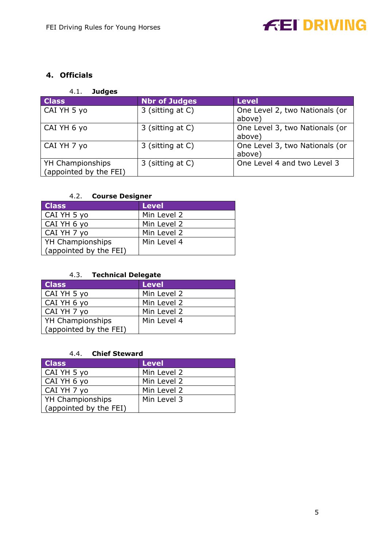## <span id="page-4-0"></span>**4. Officials**

## 4.1. **Judges**

<span id="page-4-1"></span>

| <b>Class</b>                               | <b>Nbr of Judges</b> | <b>Level</b>                             |
|--------------------------------------------|----------------------|------------------------------------------|
| CAI YH 5 yo                                | 3 (sitting at C)     | One Level 2, two Nationals (or<br>above) |
| CAI YH 6 yo                                | 3 (sitting at C)     | One Level 3, two Nationals (or<br>above) |
| CAI YH 7 yo                                | 3 (sitting at C)     | One Level 3, two Nationals (or<br>above) |
| YH Championships<br>(appointed by the FEI) | 3 (sitting at C)     | One Level 4 and two Level 3              |

### 4.2. **Course Designer**

<span id="page-4-2"></span>

| <b>Class</b>           | Level       |
|------------------------|-------------|
| CAI YH 5 yo            | Min Level 2 |
| CAI YH 6 yo            | Min Level 2 |
| CAI YH 7 yo            | Min Level 2 |
| YH Championships       | Min Level 4 |
| (appointed by the FEI) |             |

#### 4.3. **Technical Delegate**

<span id="page-4-3"></span>

| <b>Class</b>           | <b>Level</b> |
|------------------------|--------------|
| CAI YH 5 yo            | Min Level 2  |
| CAI YH 6 yo            | Min Level 2  |
| CAI YH 7 yo            | Min Level 2  |
| YH Championships       | Min Level 4  |
| (appointed by the FEI) |              |

#### 4.4. **Chief Steward**

<span id="page-4-4"></span>

| <b>Class</b>           | <b>Level</b> |
|------------------------|--------------|
| CAI YH 5 yo            | Min Level 2  |
| CAI YH 6 yo            | Min Level 2  |
| CAI YH 7 yo            | Min Level 2  |
| YH Championships       | Min Level 3  |
| (appointed by the FEI) |              |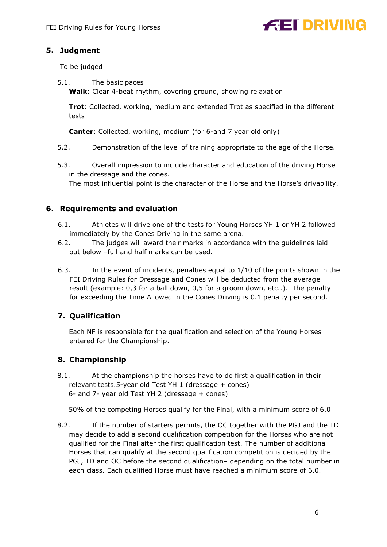## <span id="page-5-0"></span>**5. Judgment**

To be judged

5.1. The basic paces **Walk**: Clear 4-beat rhythm, covering ground, showing relaxation

**Trot**: Collected, working, medium and extended Trot as specified in the different tests

**Canter**: Collected, working, medium (for 6-and 7 year old only)

- 5.2. Demonstration of the level of training appropriate to the age of the Horse.
- 5.3. Overall impression to include character and education of the driving Horse in the dressage and the cones.

The most influential point is the character of the Horse and the Horse's drivability.

### <span id="page-5-1"></span>**6. Requirements and evaluation**

- 6.1. Athletes will drive one of the tests for Young Horses YH 1 or YH 2 followed immediately by the Cones Driving in the same arena.
- 6.2. The judges will award their marks in accordance with the guidelines laid out below –full and half marks can be used.
- 6.3. In the event of incidents, penalties equal to 1/10 of the points shown in the FEI Driving Rules for Dressage and Cones will be deducted from the average result (example: 0,3 for a ball down, 0,5 for a groom down, etc..). The penalty for exceeding the Time Allowed in the Cones Driving is 0.1 penalty per second.

## <span id="page-5-2"></span>**7. Qualification**

Each NF is responsible for the qualification and selection of the Young Horses entered for the Championship.

## <span id="page-5-3"></span>**8. Championship**

8.1. At the championship the horses have to do first a qualification in their relevant tests.5-year old Test YH 1 (dressage + cones) 6- and 7- year old Test YH 2 (dressage + cones)

50% of the competing Horses qualify for the Final, with a minimum score of 6.0

8.2. If the number of starters permits, the OC together with the PGJ and the TD may decide to add a second qualification competition for the Horses who are not qualified for the Final after the first qualification test. The number of additional Horses that can qualify at the second qualification competition is decided by the PGJ, TD and OC before the second qualification– depending on the total number in each class. Each qualified Horse must have reached a minimum score of 6.0.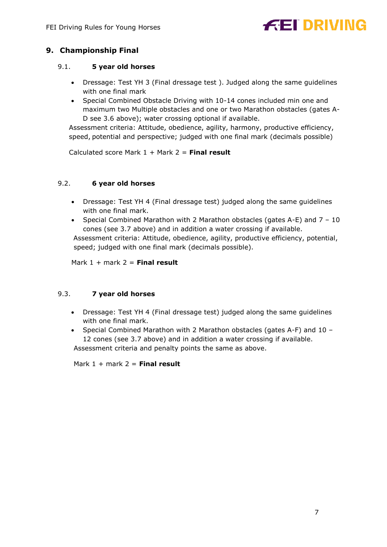## <span id="page-6-0"></span>**9. Championship Final**

#### <span id="page-6-1"></span>9.1. **5 year old horses**

- Dressage: Test YH 3 (Final dressage test ). Judged along the same guidelines with one final mark
- Special Combined Obstacle Driving with 10-14 cones included min one and maximum two Multiple obstacles and one or two Marathon obstacles (gates A-D see 3.6 above); water crossing optional if available.

Assessment criteria: Attitude, obedience, agility, harmony, productive efficiency, speed, potential and perspective; judged with one final mark (decimals possible)

Calculated score Mark 1 + Mark 2 = **Final result**

#### <span id="page-6-2"></span>9.2. **6 year old horses**

- Dressage: Test YH 4 (Final dressage test) judged along the same guidelines with one final mark.
- Special Combined Marathon with 2 Marathon obstacles (gates A-E) and  $7 10$ cones (see 3.7 above) and in addition a water crossing if available.

Assessment criteria: Attitude, obedience, agility, productive efficiency, potential, speed; judged with one final mark (decimals possible).

Mark 1 + mark 2 = **Final result**

#### <span id="page-6-3"></span>9.3. **7 year old horses**

- Dressage: Test YH 4 (Final dressage test) judged along the same guidelines with one final mark.
- Special Combined Marathon with 2 Marathon obstacles (gates A-F) and 10 -12 cones (see 3.7 above) and in addition a water crossing if available. Assessment criteria and penalty points the same as above.

Mark 1 + mark 2 = **Final result**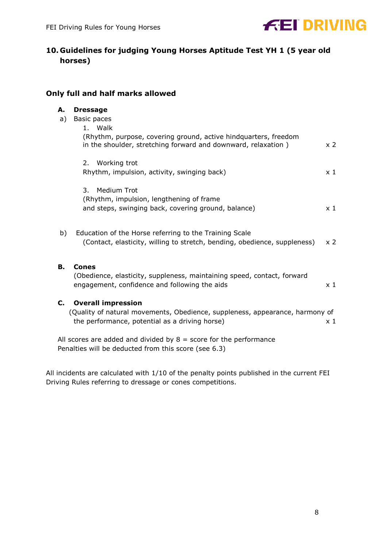

## <span id="page-7-0"></span>**10. Guidelines for judging Young Horses Aptitude Test YH 1 (5 year old horses)**

### **Only full and half marks allowed**

| А. | <b>Dressage</b>                                                                                                                  |                |
|----|----------------------------------------------------------------------------------------------------------------------------------|----------------|
| a) | Basic paces                                                                                                                      |                |
|    | 1. Walk                                                                                                                          |                |
|    | (Rhythm, purpose, covering ground, active hindquarters, freedom<br>in the shoulder, stretching forward and downward, relaxation) | x <sub>2</sub> |
|    | 2. Working trot                                                                                                                  |                |
|    | Rhythm, impulsion, activity, swinging back)                                                                                      | $\times$ 1     |
|    | Medium Trot<br>3.                                                                                                                |                |
|    | (Rhythm, impulsion, lengthening of frame                                                                                         |                |
|    | and steps, swinging back, covering ground, balance)                                                                              | $\times$ 1     |
| b) | Education of the Horse referring to the Training Scale                                                                           |                |
|    | (Contact, elasticity, willing to stretch, bending, obedience, suppleness)                                                        | $\times 2$     |
| В. | Cones                                                                                                                            |                |
|    | (Obedience, elasticity, suppleness, maintaining speed, contact, forward                                                          |                |
|    | engagement, confidence and following the aids                                                                                    | $\times$ 1     |
| С. | <b>Overall impression</b>                                                                                                        |                |
|    | (Quality of natural movements, Obedience, suppleness, appearance, harmony of<br>the performance, potential as a driving horse)   | $\times 1$     |
|    |                                                                                                                                  |                |
|    |                                                                                                                                  |                |

All scores are added and divided by  $8 =$  score for the performance Penalties will be deducted from this score (see 6.3)

All incidents are calculated with 1/10 of the penalty points published in the current FEI Driving Rules referring to dressage or cones competitions.